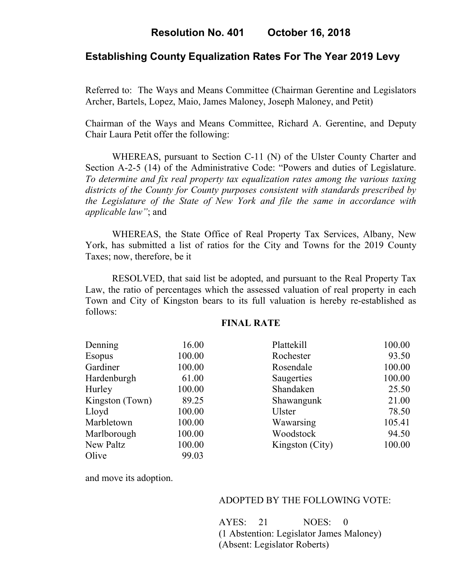# **Establishing County Equalization Rates For The Year 2019 Levy**

Referred to: The Ways and Means Committee (Chairman Gerentine and Legislators Archer, Bartels, Lopez, Maio, James Maloney, Joseph Maloney, and Petit)

Chairman of the Ways and Means Committee, Richard A. Gerentine, and Deputy Chair Laura Petit offer the following:

WHEREAS, pursuant to Section C-11 (N) of the Ulster County Charter and Section A-2-5 (14) of the Administrative Code: "Powers and duties of Legislature. *To determine and fix real property tax equalization rates among the various taxing districts of the County for County purposes consistent with standards prescribed by the Legislature of the State of New York and file the same in accordance with applicable law"*; and

 WHEREAS, the State Office of Real Property Tax Services, Albany, New York, has submitted a list of ratios for the City and Towns for the 2019 County Taxes; now, therefore, be it

RESOLVED, that said list be adopted, and pursuant to the Real Property Tax Law, the ratio of percentages which the assessed valuation of real property in each Town and City of Kingston bears to its full valuation is hereby re-established as follows:

### **FINAL RATE**

| Denning         | 16.00  | Plattekill      | 100.00 |
|-----------------|--------|-----------------|--------|
| <b>Esopus</b>   | 100.00 | Rochester       | 93.50  |
| Gardiner        | 100.00 | Rosendale       | 100.00 |
| Hardenburgh     | 61.00  | Saugerties      | 100.00 |
| Hurley          | 100.00 | Shandaken       | 25.50  |
| Kingston (Town) | 89.25  | Shawangunk      | 21.00  |
| Lloyd           | 100.00 | Ulster          | 78.50  |
| Marbletown      | 100.00 | Wawarsing       | 105.41 |
| Marlborough     | 100.00 | Woodstock       | 94.50  |
| New Paltz       | 100.00 | Kingston (City) | 100.00 |
| Olive           | 99.03  |                 |        |

and move its adoption.

#### ADOPTED BY THE FOLLOWING VOTE:

AYES: 21 NOES: 0 (1 Abstention: Legislator James Maloney) (Absent: Legislator Roberts)